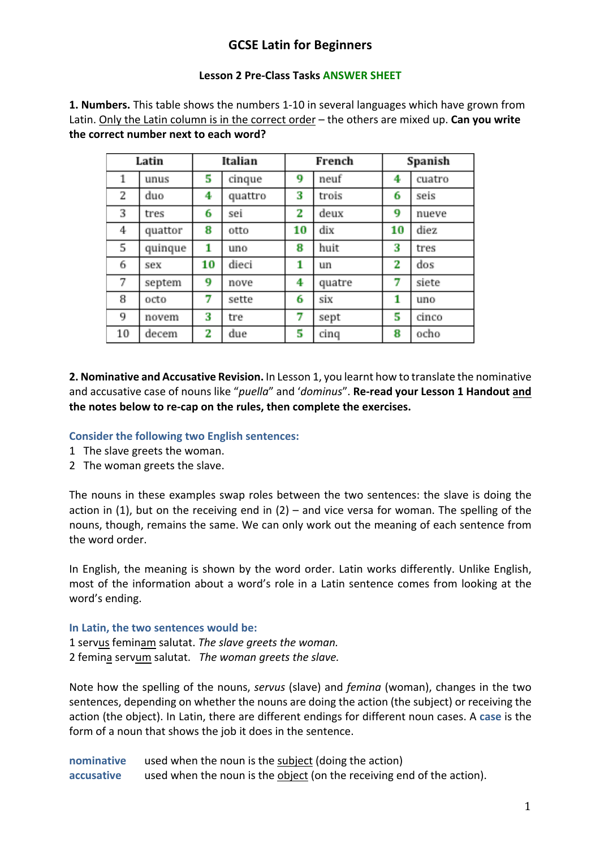# **GCSE Latin for Beginners**

#### **Lesson 2 Pre-Class Tasks ANSWER SHEET**

**1. Numbers.** This table shows the numbers 1-10 in several languages which have grown from Latin. Only the Latin column is in the correct order – the others are mixed up. **Can you write the correct number next to each word?** 

| Latin |         | Italian |         | French |        | Spanish |        |
|-------|---------|---------|---------|--------|--------|---------|--------|
| 1     | unus    | 5       | cinque  | 9      | neuf   | 4       | cuatro |
| 2     | duo     | 4       | quattro | 3      | trois  | 6       | seis   |
| 3     | tres    | 6       | sei     | 2      | deux   | 9       | nueve  |
| 4     | quattor | 8       | otto    | 10     | dix    | 10      | diez   |
| 5     | quinque | 1       | uno     | 8      | huit   | 3       | tres   |
| 6     | sex     | 10      | dieci   | 1      | un     | 2       | dos    |
| 7     | septem  | 9       | nove    | 4      | quatre | 7       | siete  |
| 8     | octo    | 7       | sette   | 6      | six    | 1       | uno    |
| 9     | novem   | 3       | tre     | 7      | sept   | 5       | cinco  |
| 10    | decem   | 2       | due     | 5      | cinq   | 8       | ocho   |

**2. Nominative and Accusative Revision.** In Lesson 1, you learnt how to translate the nominative and accusative case of nouns like "*puella*" and '*dominus*". **Re-read your Lesson 1 Handout and the notes below to re-cap on the rules, then complete the exercises.** 

### **Consider the following two English sentences:**

- 1 The slave greets the woman.
- 2 The woman greets the slave.

The nouns in these examples swap roles between the two sentences: the slave is doing the action in (1), but on the receiving end in (2) – and vice versa for woman. The spelling of the nouns, though, remains the same. We can only work out the meaning of each sentence from the word order.

In English, the meaning is shown by the word order. Latin works differently. Unlike English, most of the information about a word's role in a Latin sentence comes from looking at the word's ending.

### **In Latin, the two sentences would be:**

1 servus feminam salutat. *The slave greets the woman.* 2 femina servum salutat. *The woman greets the slave.*

Note how the spelling of the nouns, *servus* (slave) and *femina* (woman), changes in the two sentences, depending on whether the nouns are doing the action (the subject) or receiving the action (the object). In Latin, there are different endings for different noun cases. A **case** is the form of a noun that shows the job it does in the sentence.

**nominative** used when the noun is the subject (doing the action) **accusative** used when the noun is the object (on the receiving end of the action).